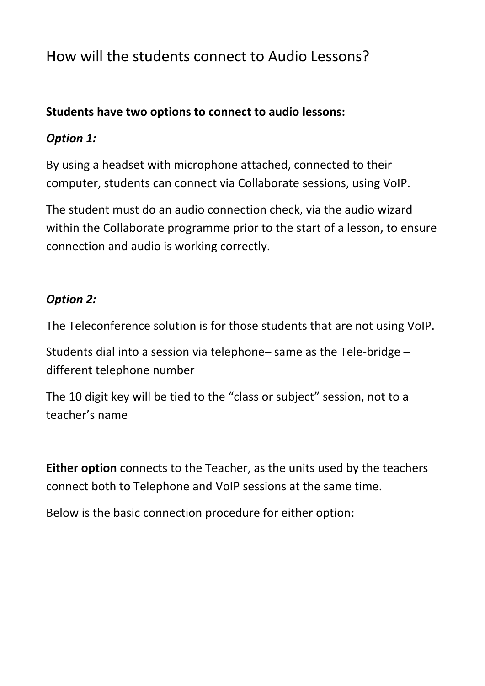# How will the students connect to Audio Lessons?

### **Students have two options to connect to audio lessons:**

### *Option 1:*

By using a headset with microphone attached, connected to their computer, students can connect via Collaborate sessions, using VoIP.

The student must do an audio connection check, via the audio wizard within the Collaborate programme prior to the start of a lesson, to ensure connection and audio is working correctly.

## *Option 2:*

The Teleconference solution is for those students that are not using VoIP.

Students dial into a session via telephone– same as the Tele-bridge – different telephone number

The 10 digit key will be tied to the "class or subject" session, not to a teacher's name

**Either option** connects to the Teacher, as the units used by the teachers connect both to Telephone and VoIP sessions at the same time.

Below is the basic connection procedure for either option: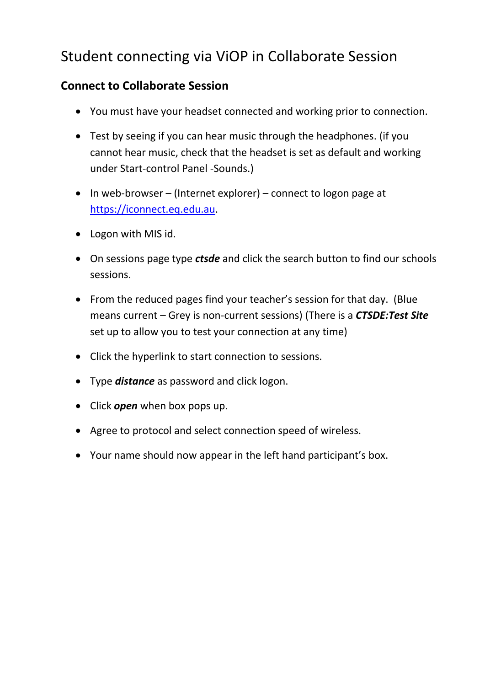# Student connecting via ViOP in Collaborate Session

### **Connect to Collaborate Session**

- You must have your headset connected and working prior to connection.
- Test by seeing if you can hear music through the headphones. (if you cannot hear music, check that the headset is set as default and working under Start-control Panel -Sounds.)
- $\bullet$  In web-browser (Internet explorer) connect to logon page at [https://iconnect.eq.edu.au.](https://iconnect.eq.edu.au/)
- Logon with MIS id.
- On sessions page type *ctsde* and click the search button to find our schools sessions.
- From the reduced pages find your teacher's session for that day. (Blue means current – Grey is non-current sessions) (There is a *CTSDE:Test Site* set up to allow you to test your connection at any time)
- Click the hyperlink to start connection to sessions.
- Type *distance* as password and click logon.
- Click *open* when box pops up.
- Agree to protocol and select connection speed of wireless.
- Your name should now appear in the left hand participant's box.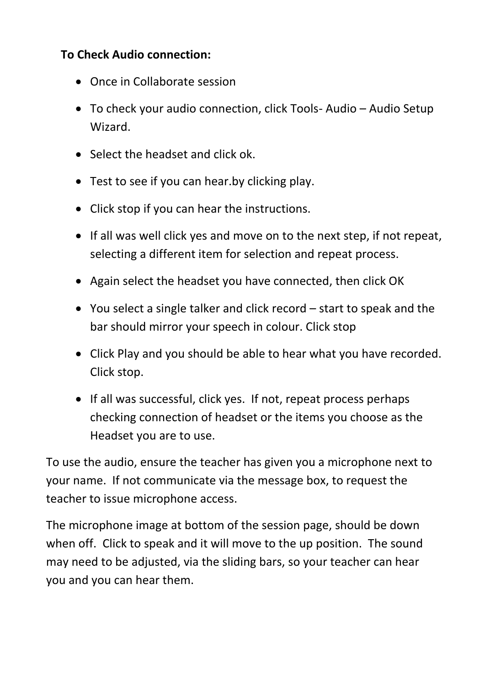## **To Check Audio connection:**

- Once in Collaborate session
- To check your audio connection, click Tools- Audio Audio Setup Wizard.
- Select the headset and click ok.
- Test to see if you can hear.by clicking play.
- Click stop if you can hear the instructions.
- If all was well click yes and move on to the next step, if not repeat, selecting a different item for selection and repeat process.
- Again select the headset you have connected, then click OK
- You select a single talker and click record start to speak and the bar should mirror your speech in colour. Click stop
- Click Play and you should be able to hear what you have recorded. Click stop.
- If all was successful, click yes. If not, repeat process perhaps checking connection of headset or the items you choose as the Headset you are to use.

To use the audio, ensure the teacher has given you a microphone next to your name. If not communicate via the message box, to request the teacher to issue microphone access.

The microphone image at bottom of the session page, should be down when off. Click to speak and it will move to the up position. The sound may need to be adjusted, via the sliding bars, so your teacher can hear you and you can hear them.